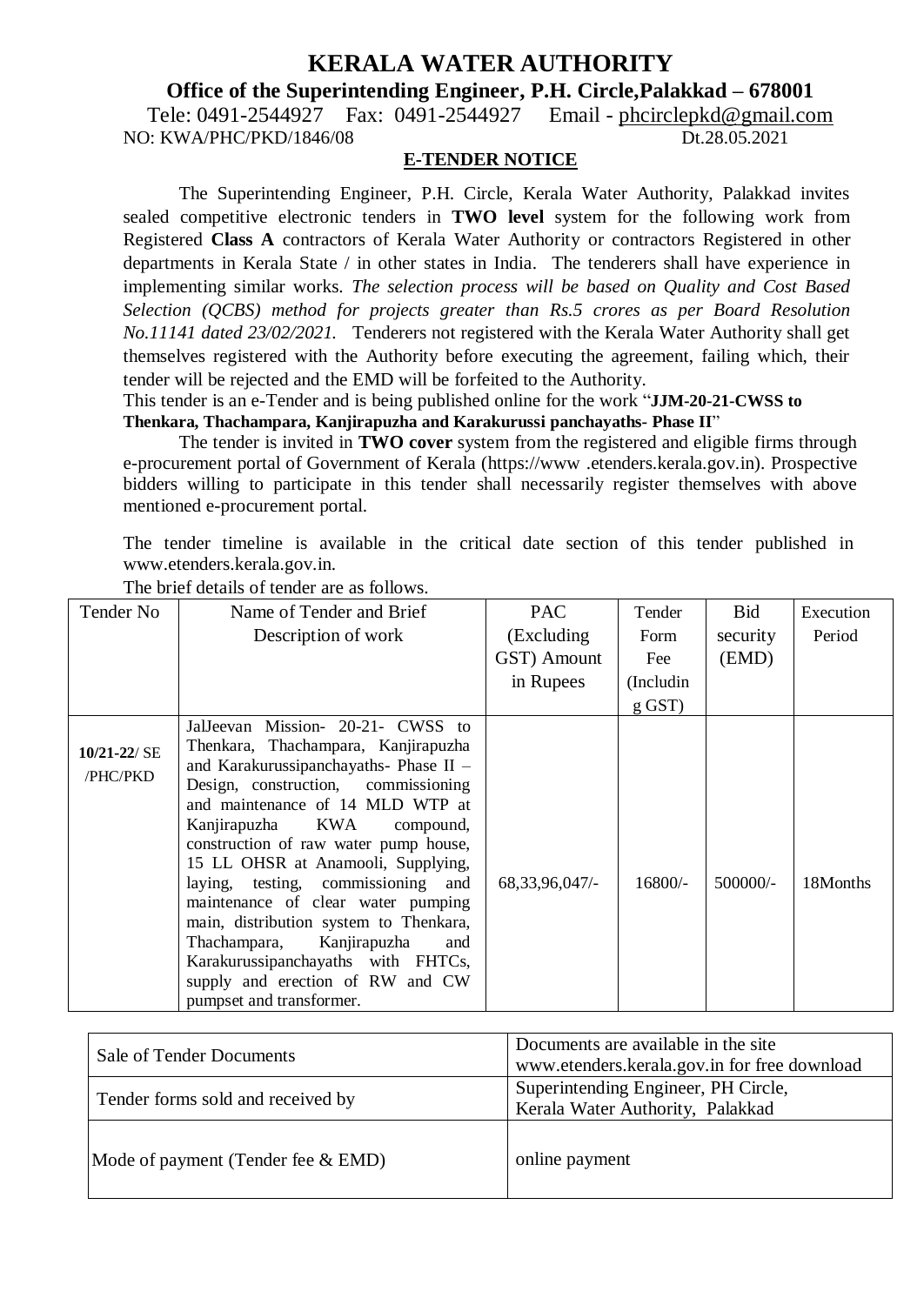# **KERALA WATER AUTHORITY**

**Office of the Superintending Engineer, P.H. Circle,Palakkad – 678001**

Tele: 0491-2544927 Fax: 0491-2544927 Email - [phcirclepkd@gmail.com](mailto:phcirclepkd@gmail.com) NO: KWA/PHC/PKD/1846/08 Dt.28.05.2021

#### **E-TENDER NOTICE**

The Superintending Engineer, P.H. Circle, Kerala Water Authority, Palakkad invites sealed competitive electronic tenders in **TWO level** system for the following work from Registered **Class A** contractors of Kerala Water Authority or contractors Registered in other departments in Kerala State / in other states in India. The tenderers shall have experience in implementing similar works. *The selection process will be based on Quality and Cost Based Selection (QCBS) method for projects greater than Rs.5 crores as per Board Resolution No.11141 dated 23/02/2021.* Tenderers not registered with the Kerala Water Authority shall get themselves registered with the Authority before executing the agreement, failing which, their tender will be rejected and the EMD will be forfeited to the Authority.

This tender is an e-Tender and is being published online for the work "**JJM-20-21-CWSS to Thenkara, Thachampara, Kanjirapuzha and Karakurussi panchayaths- Phase II**"

The tender is invited in **TWO cover** system from the registered and eligible firms through e-procurement portal of Government of Kerala (https://www [.etenders.kerala.gov.in](http://www.etenders.kerala.gov.in/)). Prospective bidders willing to participate in this tender shall necessarily register themselves with above mentioned e-procurement portal.

The tender timeline is available in the critical date section of this tender published in [www.etenders.kerala.gov.in.](http://www.etenders.kerala.gov.in/)

| Tender No                    | Name of Tender and Brief                                                                                                                                                                                                                                                                                                                                                                                                               | <b>PAC</b>        | Tender     | Bid      | Execution |
|------------------------------|----------------------------------------------------------------------------------------------------------------------------------------------------------------------------------------------------------------------------------------------------------------------------------------------------------------------------------------------------------------------------------------------------------------------------------------|-------------------|------------|----------|-----------|
|                              | Description of work                                                                                                                                                                                                                                                                                                                                                                                                                    | (Excluding)       | Form       | security | Period    |
|                              |                                                                                                                                                                                                                                                                                                                                                                                                                                        | GST) Amount       | Fee        | (EMD)    |           |
|                              |                                                                                                                                                                                                                                                                                                                                                                                                                                        | in Rupees         | (Includin) |          |           |
|                              |                                                                                                                                                                                                                                                                                                                                                                                                                                        |                   | $g$ GST)   |          |           |
| $10/21 - 22/$ SE<br>/PHC/PKD | Mission- 20-21- CWSS to<br>JalJeevan<br>Thenkara, Thachampara, Kanjirapuzha<br>and Karakurussipanchayaths- Phase II -<br>Design, construction, commissioning<br>and maintenance of 14 MLD WTP at<br>Kanjirapuzha KWA<br>compound,<br>construction of raw water pump house,<br>15 LL OHSR at Anamooli, Supplying,<br>laying, testing, commissioning and<br>maintenance of clear water pumping<br>main, distribution system to Thenkara, | 68, 33, 96, 047/- | 16800/-    | 500000/- | 18Months  |
|                              | Thachampara, Kanjirapuzha<br>and<br>Karakurussipanchayaths with FHTCs,<br>supply and erection of RW and CW<br>pumpset and transformer.                                                                                                                                                                                                                                                                                                 |                   |            |          |           |

The brief details of tender are as follows.

| Sale of Tender Documents              | Documents are available in the site<br>www.etenders.kerala.gov.in for free download |  |  |
|---------------------------------------|-------------------------------------------------------------------------------------|--|--|
| Tender forms sold and received by     | Superintending Engineer, PH Circle,<br>Kerala Water Authority, Palakkad             |  |  |
| Mode of payment (Tender fee $& EMD$ ) | online payment                                                                      |  |  |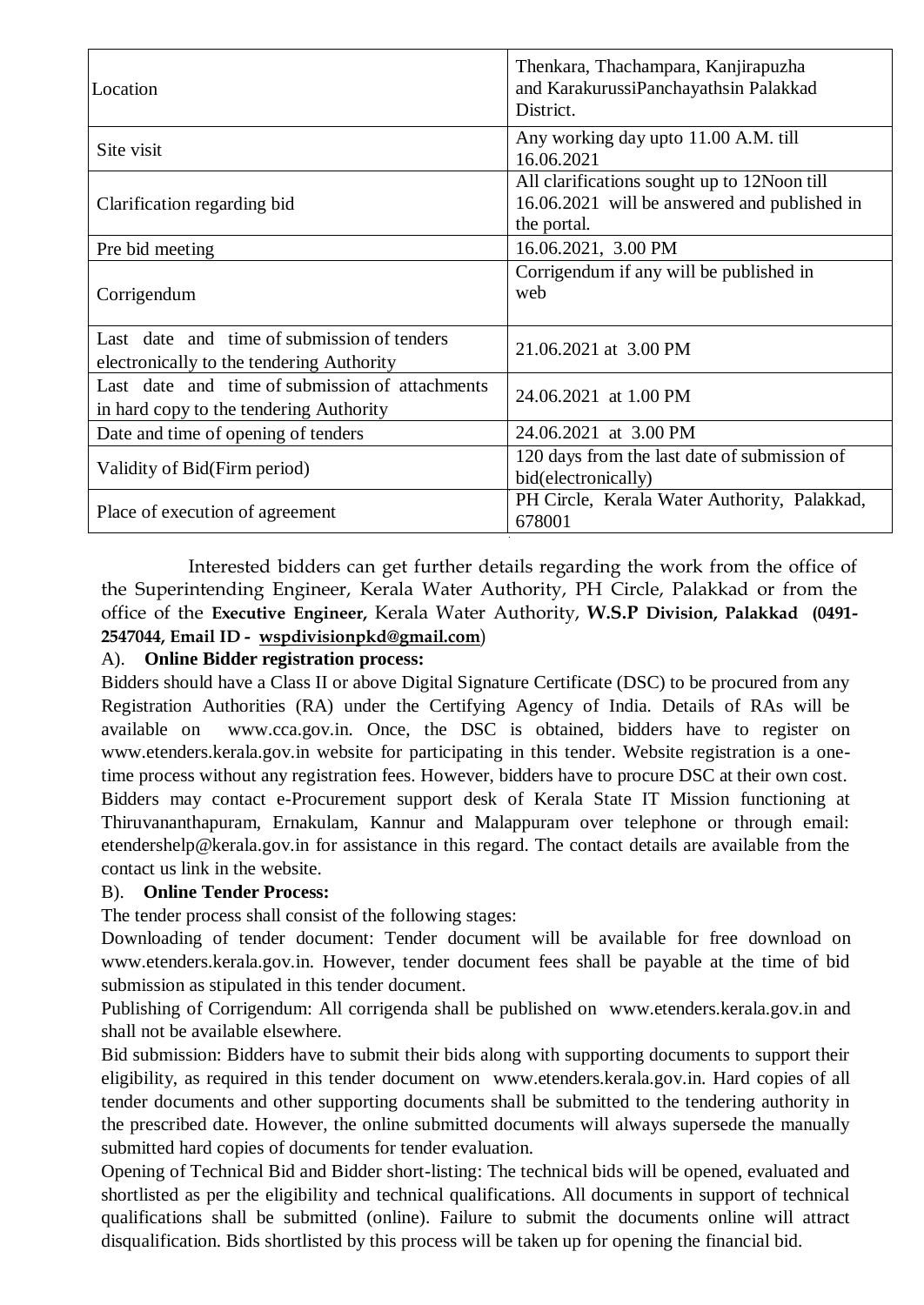| Location                                                                                   | Thenkara, Thachampara, Kanjirapuzha<br>and KarakurussiPanchayathsin Palakkad<br>District.                   |  |  |
|--------------------------------------------------------------------------------------------|-------------------------------------------------------------------------------------------------------------|--|--|
| Site visit                                                                                 | Any working day upto 11.00 A.M. till<br>16.06.2021                                                          |  |  |
| Clarification regarding bid                                                                | All clarifications sought up to 12 Noon till<br>16.06.2021 will be answered and published in<br>the portal. |  |  |
| Pre bid meeting                                                                            | 16.06.2021, 3.00 PM                                                                                         |  |  |
| Corrigendum                                                                                | Corrigendum if any will be published in<br>web                                                              |  |  |
| Last date and time of submission of tenders<br>electronically to the tendering Authority   | 21.06.2021 at 3.00 PM                                                                                       |  |  |
| Last date and time of submission of attachments<br>in hard copy to the tendering Authority | 24.06.2021 at 1.00 PM                                                                                       |  |  |
| Date and time of opening of tenders                                                        | 24.06.2021 at 3.00 PM                                                                                       |  |  |
| Validity of Bid(Firm period)                                                               | 120 days from the last date of submission of<br>bid(electronically)                                         |  |  |
| Place of execution of agreement                                                            | PH Circle, Kerala Water Authority, Palakkad,<br>678001                                                      |  |  |

Interested bidders can get further details regarding the work from the office of the Superintending Engineer, Kerala Water Authority, PH Circle, Palakkad or from the office of the **Executive Engineer,** Kerala Water Authority, **W.S.P Division, Palakkad (0491- 2547044, Email ID - [wspdivisionpkd@gmail.com](mailto:wspdivisionpkd@gmail.com)**)

## A). **Online Bidder registration process:**

Bidders should have a Class II or above Digital Signature Certificate (DSC) to be procured from any Registration Authorities (RA) under the Certifying Agency of India. Details of RAs will be available on [www.cca.gov.in](http://www.cca.gov.in/). Once, the DSC is obtained, bidders have to register on [www.etenders.kerala.gov.in](http://www.etenders.kerala.gov.in/) website for participating in this tender. Website registration is a onetime process without any registration fees. However, bidders have to procure DSC at their own cost. Bidders may contact e-Procurement support desk of Kerala State IT Mission functioning at Thiruvananthapuram, Ernakulam, Kannur and Malappuram over telephone or through email: etendershelp@kerala.gov.in for assistance in this regard. The contact details are available from the contact us link in the website.

## B). **Online Tender Process:**

The tender process shall consist of the following stages:

Downloading of tender document: Tender document will be available for free download on [www.etenders.kerala.gov.in](http://www.etenders.kerala.gov.in/). However, tender document fees shall be payable at the time of bid submission as stipulated in this tender document.

Publishing of Corrigendum: All corrigenda shall be published on [www.etenders.kerala.gov.in](http://www.etenders.kerala.gov.in/) and shall not be available elsewhere.

Bid submission: Bidders have to submit their bids along with supporting documents to support their eligibility, as required in this tender document on [www.etenders.kerala.gov.in](http://www.etenders.kerala.gov.in/). Hard copies of all tender documents and other supporting documents shall be submitted to the tendering authority in the prescribed date. However, the online submitted documents will always supersede the manually submitted hard copies of documents for tender evaluation.

Opening of Technical Bid and Bidder short-listing: The technical bids will be opened, evaluated and shortlisted as per the eligibility and technical qualifications. All documents in support of technical qualifications shall be submitted (online). Failure to submit the documents online will attract disqualification. Bids shortlisted by this process will be taken up for opening the financial bid.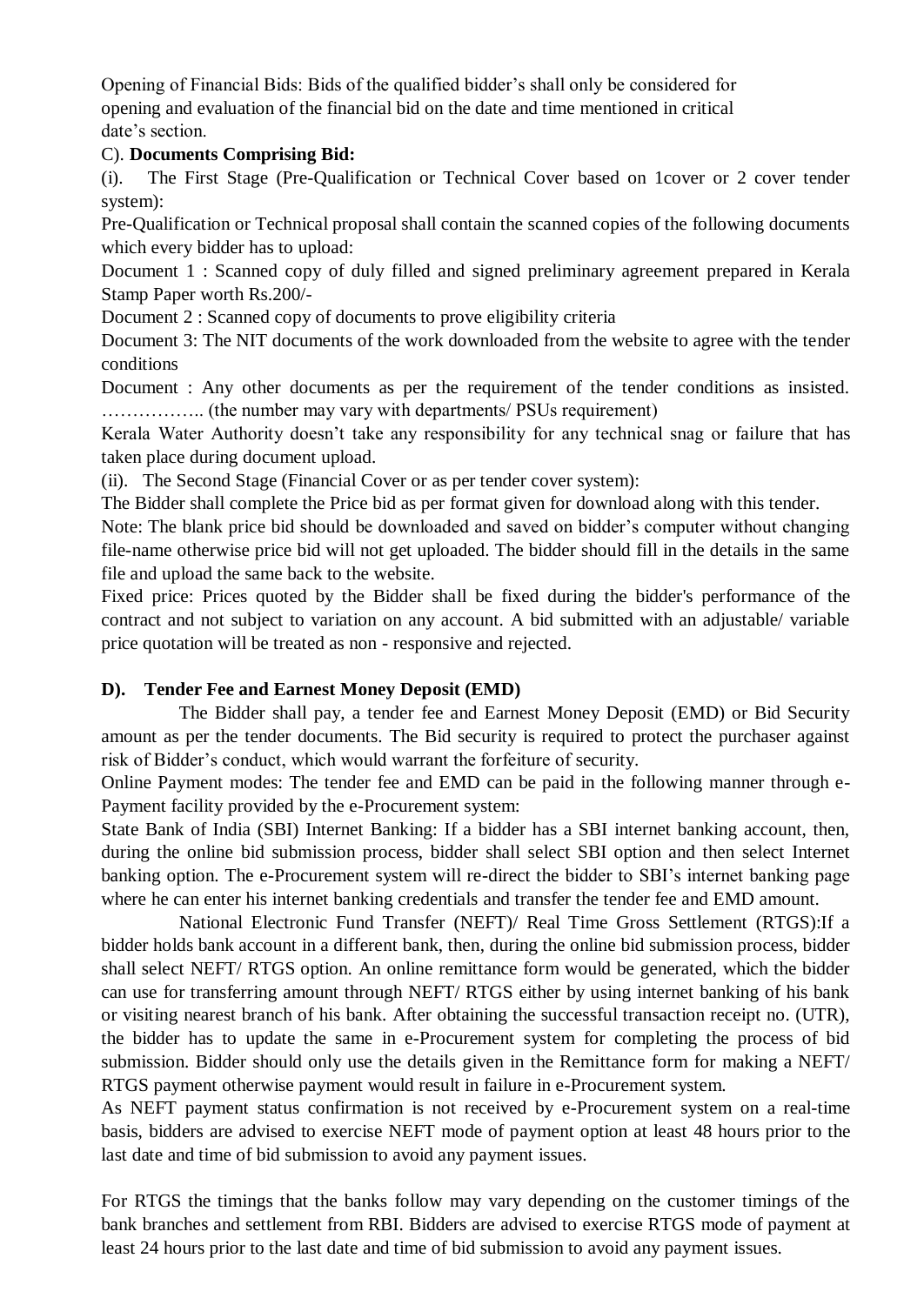Opening of Financial Bids: Bids of the qualified bidder's shall only be considered for opening and evaluation of the financial bid on the date and time mentioned in critical date's section.

#### C). **Documents Comprising Bid:**

(i). The First Stage (Pre-Qualification or Technical Cover based on 1cover or 2 cover tender system):

Pre-Qualification or Technical proposal shall contain the scanned copies of the following documents which every bidder has to upload:

Document 1 : Scanned copy of duly filled and signed preliminary agreement prepared in Kerala Stamp Paper worth Rs.200/-

Document 2 : Scanned copy of documents to prove eligibility criteria

Document 3: The NIT documents of the work downloaded from the website to agree with the tender conditions

Document : Any other documents as per the requirement of the tender conditions as insisted. …………….. (the number may vary with departments/ PSUs requirement)

Kerala Water Authority doesn't take any responsibility for any technical snag or failure that has taken place during document upload.

(ii). The Second Stage (Financial Cover or as per tender cover system):

The Bidder shall complete the Price bid as per format given for download along with this tender.

Note: The blank price bid should be downloaded and saved on bidder's computer without changing file-name otherwise price bid will not get uploaded. The bidder should fill in the details in the same file and upload the same back to the website.

Fixed price: Prices quoted by the Bidder shall be fixed during the bidder's performance of the contract and not subject to variation on any account. A bid submitted with an adjustable/ variable price quotation will be treated as non - responsive and rejected.

## **D). Tender Fee and Earnest Money Deposit (EMD)**

The Bidder shall pay, a tender fee and Earnest Money Deposit (EMD) or Bid Security amount as per the tender documents. The Bid security is required to protect the purchaser against risk of Bidder's conduct, which would warrant the forfeiture of security.

Online Payment modes: The tender fee and EMD can be paid in the following manner through e-Payment facility provided by the e-Procurement system:

State Bank of India (SBI) Internet Banking: If a bidder has a SBI internet banking account, then, during the online bid submission process, bidder shall select SBI option and then select Internet banking option. The e-Procurement system will re-direct the bidder to SBI's internet banking page where he can enter his internet banking credentials and transfer the tender fee and EMD amount.

National Electronic Fund Transfer (NEFT)/ Real Time Gross Settlement (RTGS):If a bidder holds bank account in a different bank, then, during the online bid submission process, bidder shall select NEFT/ RTGS option. An online remittance form would be generated, which the bidder can use for transferring amount through NEFT/ RTGS either by using internet banking of his bank or visiting nearest branch of his bank. After obtaining the successful transaction receipt no. (UTR), the bidder has to update the same in e-Procurement system for completing the process of bid submission. Bidder should only use the details given in the Remittance form for making a NEFT/ RTGS payment otherwise payment would result in failure in e-Procurement system.

As NEFT payment status confirmation is not received by e-Procurement system on a real-time basis, bidders are advised to exercise NEFT mode of payment option at least 48 hours prior to the last date and time of bid submission to avoid any payment issues.

For RTGS the timings that the banks follow may vary depending on the customer timings of the bank branches and settlement from RBI. Bidders are advised to exercise RTGS mode of payment at least 24 hours prior to the last date and time of bid submission to avoid any payment issues.